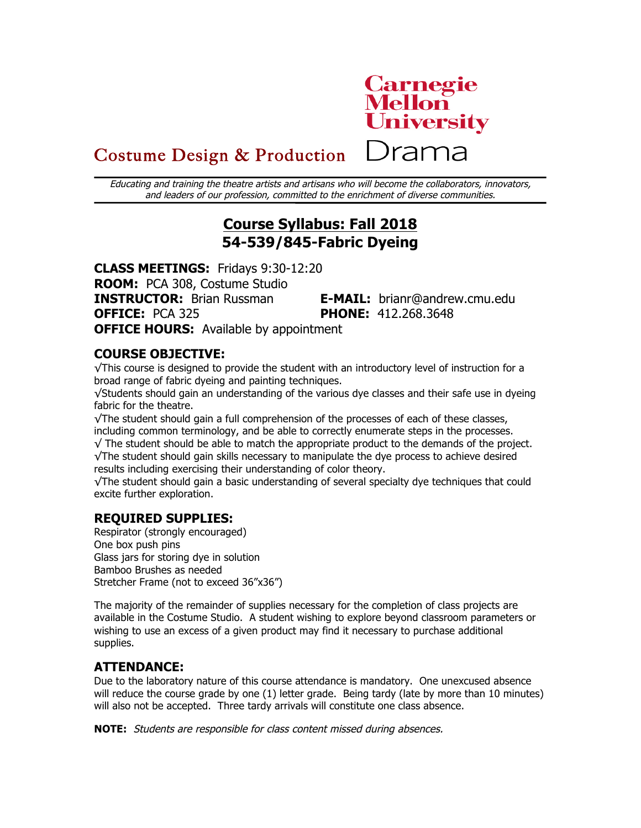

)rama

# Costume Design & Production

Educating and training the theatre artists and artisans who will become the collaborators, innovators, and leaders of our profession, committed to the enrichment of diverse communities.

# **Course Syllabus: Fall 2018 54-539/845-Fabric Dyeing**

**CLASS MEETINGS:** Fridays 9:30-12:20 **ROOM:** PCA 308, Costume Studio **INSTRUCTOR:** Brian Russman **E-MAIL:** brianr@andrew.cmu.edu **OFFICE:** PCA 325 **PHONE:** 412.268.3648 **OFFICE HOURS:** Available by appointment

## **COURSE OBJECTIVE:**

√This course is designed to provide the student with an introductory level of instruction for a broad range of fabric dyeing and painting techniques.

√Students should gain an understanding of the various dye classes and their safe use in dyeing fabric for the theatre.

√The student should gain a full comprehension of the processes of each of these classes, including common terminology, and be able to correctly enumerate steps in the processes.  $\sqrt{\ }$  The student should be able to match the appropriate product to the demands of the project.

√The student should gain skills necessary to manipulate the dye process to achieve desired results including exercising their understanding of color theory.

√The student should gain a basic understanding of several specialty dye techniques that could excite further exploration.

## **REQUIRED SUPPLIES:**

Respirator (strongly encouraged) One box push pins Glass jars for storing dye in solution Bamboo Brushes as needed Stretcher Frame (not to exceed 36"x36")

The majority of the remainder of supplies necessary for the completion of class projects are available in the Costume Studio. A student wishing to explore beyond classroom parameters or wishing to use an excess of a given product may find it necessary to purchase additional supplies.

## **ATTENDANCE:**

Due to the laboratory nature of this course attendance is mandatory. One unexcused absence will reduce the course grade by one (1) letter grade. Being tardy (late by more than 10 minutes) will also not be accepted. Three tardy arrivals will constitute one class absence.

**NOTE:** Students are responsible for class content missed during absences.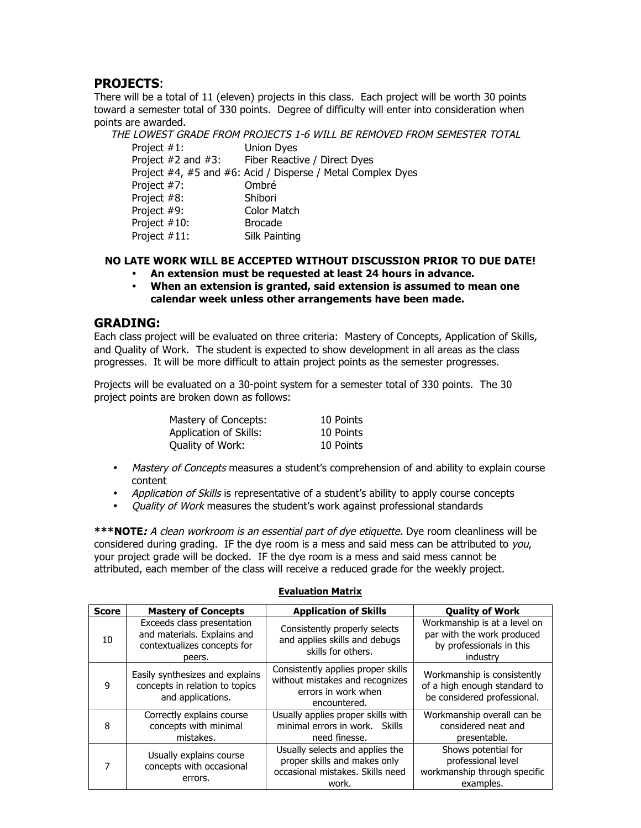## **PROJECTS**:

There will be a total of 11 (eleven) projects in this class. Each project will be worth 30 points toward a semester total of 330 points. Degree of difficulty will enter into consideration when points are awarded.

THE LOWEST GRADE FROM PROJECTS 1-6 WILL BE REMOVED FROM SEMESTER TOTAL

| Project #1:             | <b>Union Dyes</b>  |                                                             |
|-------------------------|--------------------|-------------------------------------------------------------|
| Project $#2$ and $#3$ : |                    | Fiber Reactive / Direct Dyes                                |
|                         |                    | Project #4, #5 and #6: Acid / Disperse / Metal Complex Dyes |
| Project #7:             | Ombré              |                                                             |
| Project #8:             | Shibori            |                                                             |
| Project #9:             | <b>Color Match</b> |                                                             |
| Project #10:            | <b>Brocade</b>     |                                                             |
| Project #11:            | Silk Painting      |                                                             |
|                         |                    |                                                             |

## **NO LATE WORK WILL BE ACCEPTED WITHOUT DISCUSSION PRIOR TO DUE DATE!**

- **An extension must be requested at least 24 hours in advance.**
- **When an extension is granted, said extension is assumed to mean one calendar week unless other arrangements have been made.**

## **GRADING:**

Each class project will be evaluated on three criteria: Mastery of Concepts, Application of Skills, and Quality of Work. The student is expected to show development in all areas as the class progresses. It will be more difficult to attain project points as the semester progresses.

Projects will be evaluated on a 30-point system for a semester total of 330 points. The 30 project points are broken down as follows:

| Mastery of Concepts:   | 10 Points |
|------------------------|-----------|
| Application of Skills: | 10 Points |
| Quality of Work:       | 10 Points |

- Mastery of Concepts measures a student's comprehension of and ability to explain course content
- Application of Skills is representative of a student's ability to apply course concepts
- *Quality of Work* measures the student's work against professional standards

**\*\*\*NOTE:** A clean workroom is an essential part of dye etiquette. Dye room cleanliness will be considered during grading. IF the dye room is a mess and said mess can be attributed to  $you$ , your project grade will be docked. IF the dye room is a mess and said mess cannot be attributed, each member of the class will receive a reduced grade for the weekly project.

#### **Evaluation Matrix**

| <b>Score</b> | <b>Mastery of Concepts</b>                                                                         | <b>Application of Skills</b>                                                                                 | <b>Quality of Work</b>                                                                             |
|--------------|----------------------------------------------------------------------------------------------------|--------------------------------------------------------------------------------------------------------------|----------------------------------------------------------------------------------------------------|
| 10           | Exceeds class presentation<br>and materials. Explains and<br>contextualizes concepts for<br>peers. | Consistently properly selects<br>and applies skills and debugs<br>skills for others.                         | Workmanship is at a level on<br>par with the work produced<br>by professionals in this<br>industry |
| q            | Easily synthesizes and explains<br>concepts in relation to topics<br>and applications.             | Consistently applies proper skills<br>without mistakes and recognizes<br>errors in work when<br>encountered. | Workmanship is consistently<br>of a high enough standard to<br>be considered professional.         |
| 8            | Correctly explains course<br>concepts with minimal<br>mistakes.                                    | Usually applies proper skills with<br>minimal errors in work. Skills<br>need finesse.                        | Workmanship overall can be<br>considered neat and<br>presentable.                                  |
|              | Usually explains course<br>concepts with occasional<br>errors.                                     | Usually selects and applies the<br>proper skills and makes only<br>occasional mistakes. Skills need<br>work. | Shows potential for<br>professional level<br>workmanship through specific<br>examples.             |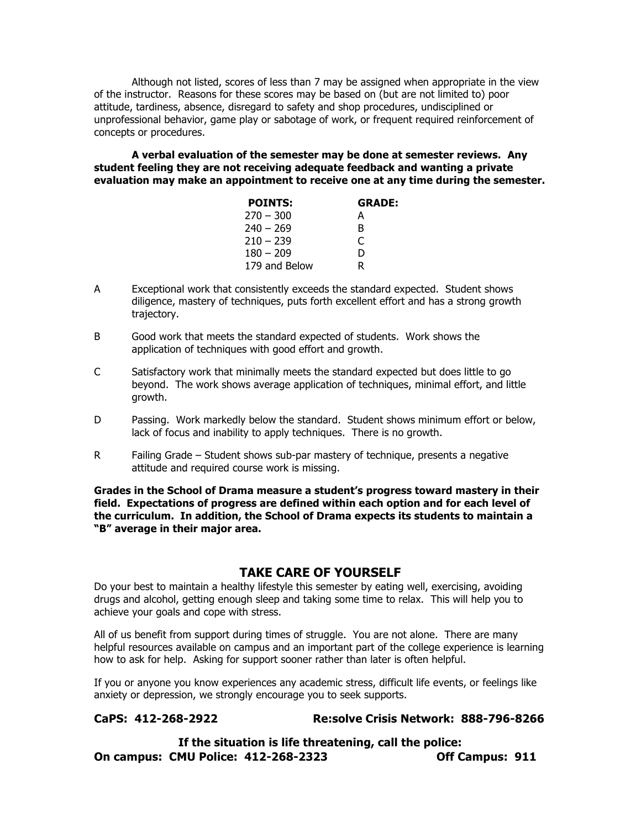Although not listed, scores of less than 7 may be assigned when appropriate in the view of the instructor. Reasons for these scores may be based on (but are not limited to) poor attitude, tardiness, absence, disregard to safety and shop procedures, undisciplined or unprofessional behavior, game play or sabotage of work, or frequent required reinforcement of concepts or procedures.

**A verbal evaluation of the semester may be done at semester reviews. Any student feeling they are not receiving adequate feedback and wanting a private evaluation may make an appointment to receive one at any time during the semester.**

| <b>POINTS:</b> | <b>GRADE:</b> |
|----------------|---------------|
| $270 - 300$    | А             |
| $240 - 269$    | в             |
| $210 - 239$    | C             |
| $180 - 209$    | D             |
| 179 and Below  |               |

- A Exceptional work that consistently exceeds the standard expected. Student shows diligence, mastery of techniques, puts forth excellent effort and has a strong growth trajectory.
- B Good work that meets the standard expected of students. Work shows the application of techniques with good effort and growth.
- C Satisfactory work that minimally meets the standard expected but does little to go beyond. The work shows average application of techniques, minimal effort, and little growth.
- D Passing. Work markedly below the standard. Student shows minimum effort or below, lack of focus and inability to apply techniques. There is no growth.
- R Failing Grade Student shows sub-par mastery of technique, presents a negative attitude and required course work is missing.

**Grades in the School of Drama measure a student's progress toward mastery in their field. Expectations of progress are defined within each option and for each level of the curriculum. In addition, the School of Drama expects its students to maintain a "B" average in their major area.**

## **TAKE CARE OF YOURSELF**

Do your best to maintain a healthy lifestyle this semester by eating well, exercising, avoiding drugs and alcohol, getting enough sleep and taking some time to relax. This will help you to achieve your goals and cope with stress.

All of us benefit from support during times of struggle. You are not alone. There are many helpful resources available on campus and an important part of the college experience is learning how to ask for help. Asking for support sooner rather than later is often helpful.

If you or anyone you know experiences any academic stress, difficult life events, or feelings like anxiety or depression, we strongly encourage you to seek supports.

## **CaPS: 412-268-2922 Re:solve Crisis Network: 888-796-8266**

**If the situation is life threatening, call the police: On campus: CMU Police: 412-268-2323 Off Campus: 911**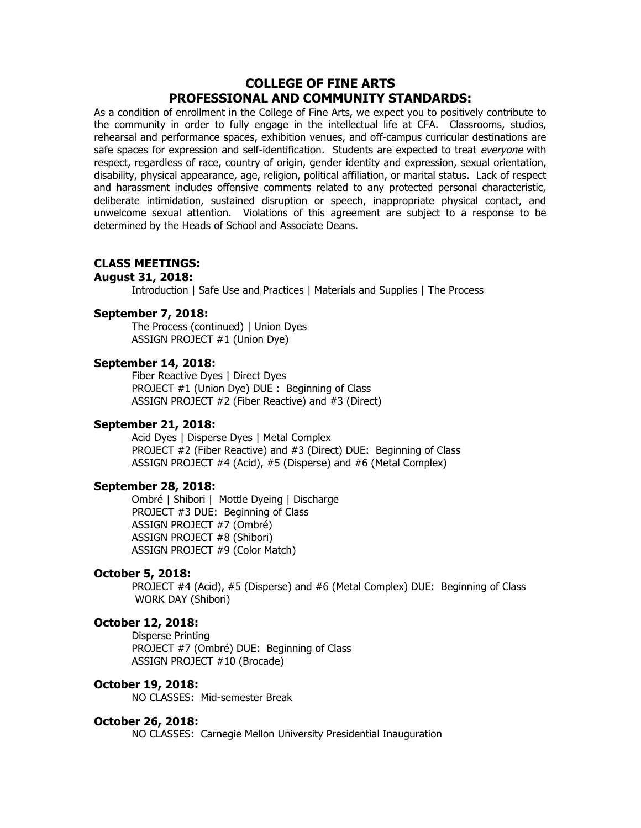## **COLLEGE OF FINE ARTS PROFESSIONAL AND COMMUNITY STANDARDS:**

As a condition of enrollment in the College of Fine Arts, we expect you to positively contribute to the community in order to fully engage in the intellectual life at CFA. Classrooms, studios, rehearsal and performance spaces, exhibition venues, and off-campus curricular destinations are safe spaces for expression and self-identification. Students are expected to treat everyone with respect, regardless of race, country of origin, gender identity and expression, sexual orientation, disability, physical appearance, age, religion, political affiliation, or marital status. Lack of respect and harassment includes offensive comments related to any protected personal characteristic, deliberate intimidation, sustained disruption or speech, inappropriate physical contact, and unwelcome sexual attention. Violations of this agreement are subject to a response to be determined by the Heads of School and Associate Deans.

#### **CLASS MEETINGS:**

#### **August 31, 2018:**

Introduction | Safe Use and Practices | Materials and Supplies | The Process

#### **September 7, 2018:**

The Process (continued) | Union Dyes ASSIGN PROJECT #1 (Union Dye)

#### **September 14, 2018:**

Fiber Reactive Dyes | Direct Dyes PROJECT #1 (Union Dye) DUE : Beginning of Class ASSIGN PROJECT #2 (Fiber Reactive) and #3 (Direct)

#### **September 21, 2018:**

Acid Dyes | Disperse Dyes | Metal Complex PROJECT #2 (Fiber Reactive) and #3 (Direct) DUE: Beginning of Class ASSIGN PROJECT #4 (Acid), #5 (Disperse) and #6 (Metal Complex)

#### **September 28, 2018:**

Ombré | Shibori | Mottle Dyeing | Discharge PROJECT #3 DUE: Beginning of Class ASSIGN PROJECT #7 (Ombré) ASSIGN PROJECT #8 (Shibori) ASSIGN PROJECT #9 (Color Match)

#### **October 5, 2018:**

PROJECT #4 (Acid), #5 (Disperse) and #6 (Metal Complex) DUE: Beginning of Class WORK DAY (Shibori)

#### **October 12, 2018:**

Disperse Printing PROJECT #7 (Ombré) DUE: Beginning of Class ASSIGN PROJECT #10 (Brocade)

#### **October 19, 2018:**

NO CLASSES: Mid-semester Break

#### **October 26, 2018:**

NO CLASSES: Carnegie Mellon University Presidential Inauguration